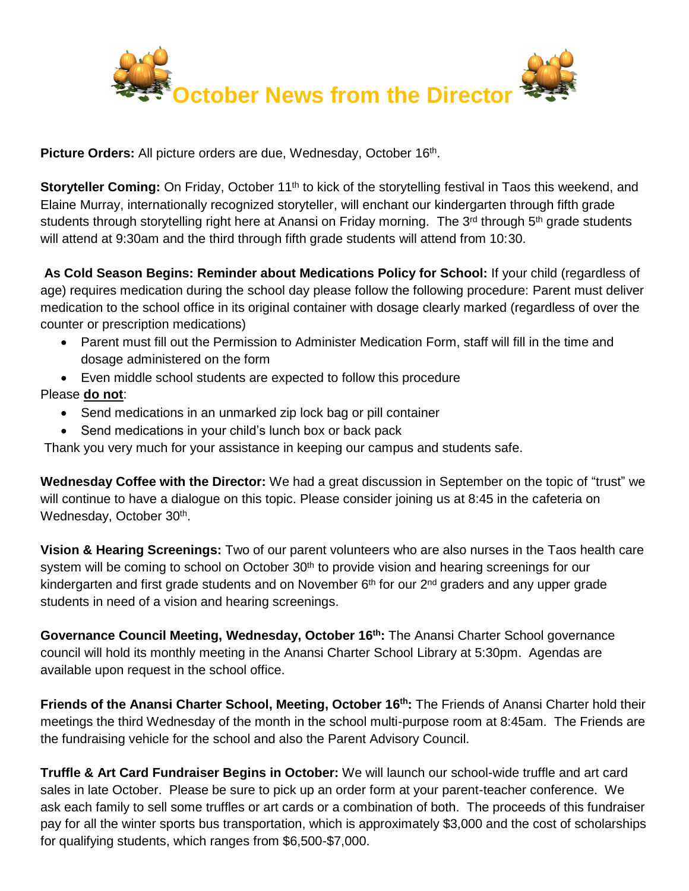

Picture Orders: All picture orders are due, Wednesday, October 16<sup>th</sup>.

Storyteller Coming: On Friday, October 11<sup>th</sup> to kick of the storytelling festival in Taos this weekend, and Elaine Murray, internationally recognized storyteller, will enchant our kindergarten through fifth grade students through storytelling right here at Anansi on Friday morning. The 3<sup>rd</sup> through 5<sup>th</sup> grade students will attend at 9:30am and the third through fifth grade students will attend from 10:30.

**As Cold Season Begins: Reminder about Medications Policy for School:** If your child (regardless of age) requires medication during the school day please follow the following procedure: Parent must deliver medication to the school office in its original container with dosage clearly marked (regardless of over the counter or prescription medications)

- Parent must fill out the Permission to Administer Medication Form, staff will fill in the time and dosage administered on the form
- Even middle school students are expected to follow this procedure

## Please **do not**:

- Send medications in an unmarked zip lock bag or pill container
- Send medications in your child's lunch box or back pack

Thank you very much for your assistance in keeping our campus and students safe.

**Wednesday Coffee with the Director:** We had a great discussion in September on the topic of "trust" we will continue to have a dialogue on this topic. Please consider joining us at 8:45 in the cafeteria on Wednesday, October 30<sup>th</sup>.

**Vision & Hearing Screenings:** Two of our parent volunteers who are also nurses in the Taos health care system will be coming to school on October 30<sup>th</sup> to provide vision and hearing screenings for our kindergarten and first grade students and on November  $6<sup>th</sup>$  for our  $2<sup>nd</sup>$  graders and any upper grade students in need of a vision and hearing screenings.

Governance Council Meeting, Wednesday, October 16<sup>th</sup>: The Anansi Charter School governance council will hold its monthly meeting in the Anansi Charter School Library at 5:30pm. Agendas are available upon request in the school office.

**Friends of the Anansi Charter School, Meeting, October 16 th:** The Friends of Anansi Charter hold their meetings the third Wednesday of the month in the school multi-purpose room at 8:45am. The Friends are the fundraising vehicle for the school and also the Parent Advisory Council.

**Truffle & Art Card Fundraiser Begins in October:** We will launch our school-wide truffle and art card sales in late October. Please be sure to pick up an order form at your parent-teacher conference. We ask each family to sell some truffles or art cards or a combination of both. The proceeds of this fundraiser pay for all the winter sports bus transportation, which is approximately \$3,000 and the cost of scholarships for qualifying students, which ranges from \$6,500-\$7,000.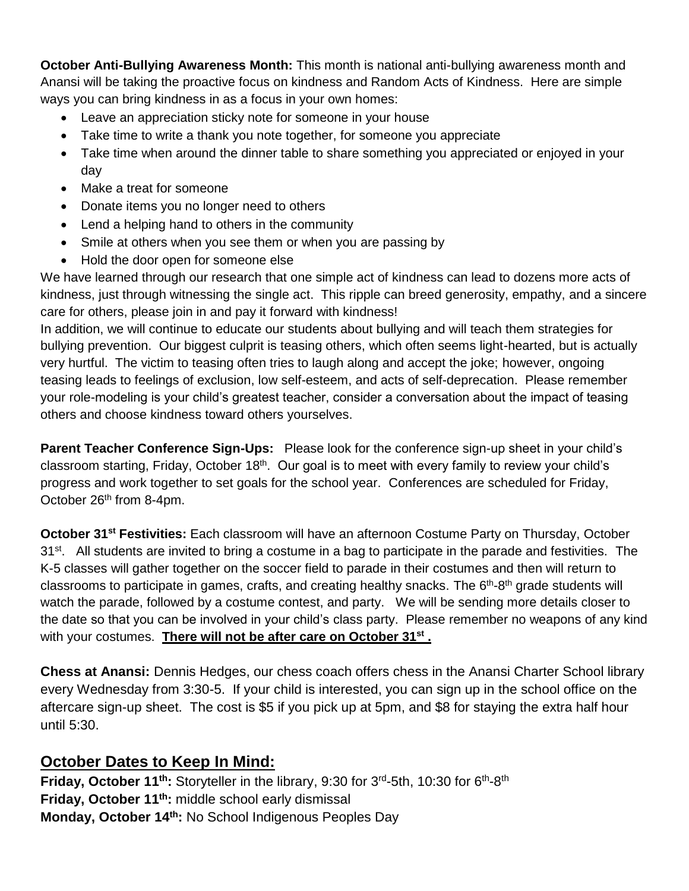**October Anti-Bullying Awareness Month:** This month is national anti-bullying awareness month and Anansi will be taking the proactive focus on kindness and Random Acts of Kindness. Here are simple ways you can bring kindness in as a focus in your own homes:

- Leave an appreciation sticky note for someone in your house
- Take time to write a thank you note together, for someone you appreciate
- Take time when around the dinner table to share something you appreciated or enjoyed in your day
- Make a treat for someone
- Donate items you no longer need to others
- Lend a helping hand to others in the community
- Smile at others when you see them or when you are passing by
- Hold the door open for someone else

We have learned through our research that one simple act of kindness can lead to dozens more acts of kindness, just through witnessing the single act. This ripple can breed generosity, empathy, and a sincere care for others, please join in and pay it forward with kindness!

In addition, we will continue to educate our students about bullying and will teach them strategies for bullying prevention. Our biggest culprit is teasing others, which often seems light-hearted, but is actually very hurtful. The victim to teasing often tries to laugh along and accept the joke; however, ongoing teasing leads to feelings of exclusion, low self-esteem, and acts of self-deprecation. Please remember your role-modeling is your child's greatest teacher, consider a conversation about the impact of teasing others and choose kindness toward others yourselves.

**Parent Teacher Conference Sign-Ups:** Please look for the conference sign-up sheet in your child's classroom starting, Friday, October 18<sup>th</sup>. Our goal is to meet with every family to review your child's progress and work together to set goals for the school year. Conferences are scheduled for Friday, October 26<sup>th</sup> from 8-4pm.

**October 31st Festivities:** Each classroom will have an afternoon Costume Party on Thursday, October 31<sup>st</sup>. All students are invited to bring a costume in a bag to participate in the parade and festivities. The K-5 classes will gather together on the soccer field to parade in their costumes and then will return to classrooms to participate in games, crafts, and creating healthy snacks. The 6<sup>th</sup>-8<sup>th</sup> grade students will watch the parade, followed by a costume contest, and party. We will be sending more details closer to the date so that you can be involved in your child's class party. Please remember no weapons of any kind with your costumes. **There will not be after care on October 31st .** 

**Chess at Anansi:** Dennis Hedges, our chess coach offers chess in the Anansi Charter School library every Wednesday from 3:30-5. If your child is interested, you can sign up in the school office on the aftercare sign-up sheet. The cost is \$5 if you pick up at 5pm, and \$8 for staying the extra half hour until 5:30.

## **October Dates to Keep In Mind:**

**Friday, October 11<sup>th</sup>:** Storyteller in the library, 9:30 for 3<sup>rd</sup>-5th, 10:30 for 6<sup>th</sup>-8<sup>th</sup> **Friday, October 11 th:** middle school early dismissal **Monday, October 14th:** No School Indigenous Peoples Day